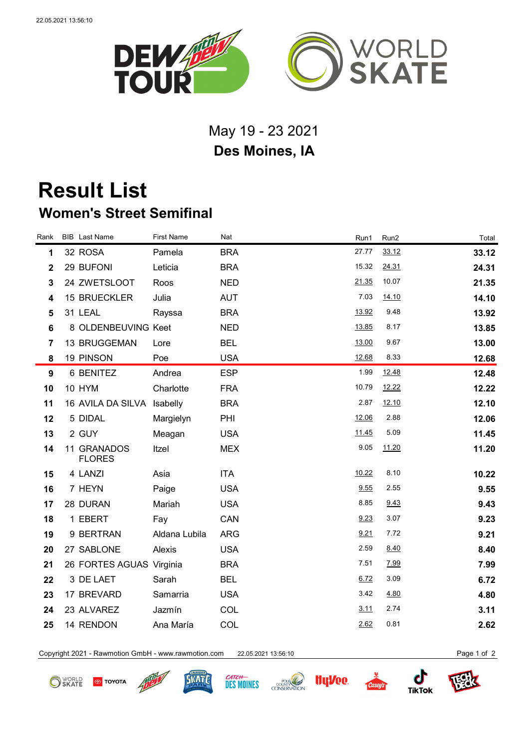

## May 19 - 23 2021 **Des Moines, IA**

## **Result List Women's Street Semifinal**

| Rank                    | <b>BIB</b> Last Name         | <b>First Name</b> | Nat        | Run1  | Run2  | Total |
|-------------------------|------------------------------|-------------------|------------|-------|-------|-------|
| 1                       | 32 ROSA                      | Pamela            | <b>BRA</b> | 27.77 | 33.12 | 33.12 |
| $\overline{\mathbf{2}}$ | 29 BUFONI                    | Leticia           | <b>BRA</b> | 15.32 | 24.31 | 24.31 |
| $\mathbf{3}$            | 24 ZWETSLOOT                 | Roos              | <b>NED</b> | 21.35 | 10.07 | 21.35 |
| $\overline{\mathbf{4}}$ | <b>15 BRUECKLER</b>          | Julia             | <b>AUT</b> | 7.03  | 14.10 | 14.10 |
| 5                       | 31 LEAL                      | Rayssa            | <b>BRA</b> | 13.92 | 9.48  | 13.92 |
| 6                       | 8 OLDENBEUVING Keet          |                   | <b>NED</b> | 13.85 | 8.17  | 13.85 |
| $\overline{7}$          | 13 BRUGGEMAN                 | Lore              | <b>BEL</b> | 13.00 | 9.67  | 13.00 |
| 8                       | 19 PINSON                    | Poe               | <b>USA</b> | 12.68 | 8.33  | 12.68 |
| 9                       | 6 BENITEZ                    | Andrea            | <b>ESP</b> | 1.99  | 12.48 | 12.48 |
| 10                      | 10 HYM                       | Charlotte         | <b>FRA</b> | 10.79 | 12.22 | 12.22 |
| 11                      | 16 AVILA DA SILVA            | Isabelly          | <b>BRA</b> | 2.87  | 12.10 | 12.10 |
| 12                      | 5 DIDAL                      | Margielyn         | PHI        | 12.06 | 2.88  | 12.06 |
| 13                      | 2 GUY                        | Meagan            | <b>USA</b> | 11.45 | 5.09  | 11.45 |
| 14                      | 11 GRANADOS<br><b>FLORES</b> | Itzel             | <b>MEX</b> | 9.05  | 11.20 | 11.20 |
| 15                      | 4 LANZI                      | Asia              | <b>ITA</b> | 10.22 | 8.10  | 10.22 |
| 16                      | 7 HEYN                       | Paige             | <b>USA</b> | 9.55  | 2.55  | 9.55  |
| 17                      | 28 DURAN                     | Mariah            | <b>USA</b> | 8.85  | 9.43  | 9.43  |
| 18                      | 1 EBERT                      | Fay               | CAN        | 9.23  | 3.07  | 9.23  |
| 19                      | 9 BERTRAN                    | Aldana Lubila     | <b>ARG</b> | 9.21  | 7.72  | 9.21  |
| 20                      | 27 SABLONE                   | Alexis            | <b>USA</b> | 2.59  | 8.40  | 8.40  |
| 21                      | 26 FORTES AGUAS Virginia     |                   | <b>BRA</b> | 7.51  | 7.99  | 7.99  |
| 22                      | 3 DE LAET                    | Sarah             | <b>BEL</b> | 6.72  | 3.09  | 6.72  |
| 23                      | 17 BREVARD                   | Samarria          | <b>USA</b> | 3.42  | 4.80  | 4.80  |
| 24                      | 23 ALVAREZ                   | Jazmín            | COL        | 3.11  | 2.74  | 3.11  |
| 25                      | 14 RENDON                    | Ana María         | <b>COL</b> | 2.62  | 0.81  | 2.62  |
|                         |                              |                   |            |       |       |       |

Copyright 2021 - Rawmotion GmbH - www.rawmotion.com 22.05.2021 13:56:10 Page 1 of 2